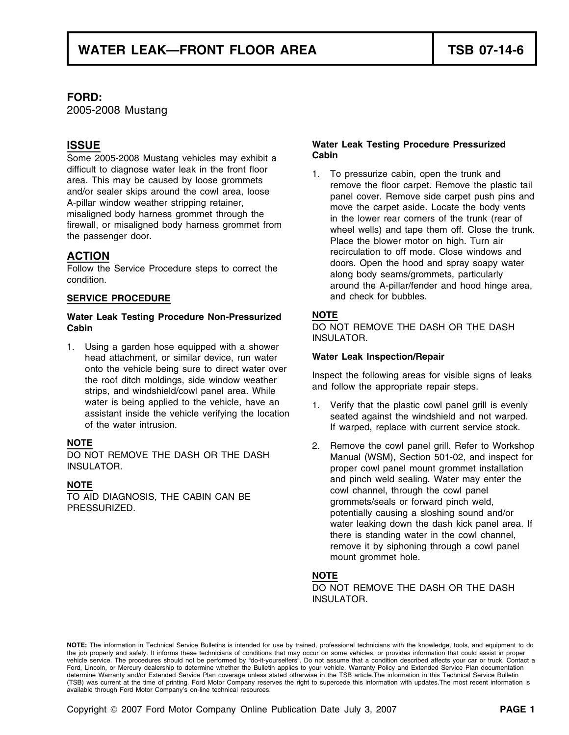### **FORD:**

2005-2008 Mustang

Some 2005-2008 Mustang vehicles may exhibit a **Cabin** 

### **Water Leak Testing Procedure Non-Pressurized NOTE Cabin Cabin Cabin DO NOT REMOVE THE DASH OR THE DASH**

1. Using a garden hose equipped with a shower head attachment, or similar device, run water **Water Leak Inspection/Repair**  onto the vehicle being sure to direct water over<br>the roof ditch moldings, side window weather<br>strips, and windshield/cowl panel area. While<br>and follow the appropriate repair steps. water is being applied to the vehicle, have an assistant inside the vehicle verifying the location<br>of the water intrusion. The water intrusion of the water intrusion.

# **ISSUE Water Leak Testing Procedure Pressurized**

difficult to diagnose water leak in the front floor<br>area. This may be caused by loose grommets<br>and/or sealer skips around the cowl area, loose<br>A-pillar window weather stripping retainer,<br>misaligned body harness grommet thr **ACTION**<br>
Follow the Service Procedure steps to correct the<br>
condition.<br>
Colose windows and<br>
condition.<br>
condition.<br>
Colose windows and<br>
condition.<br>
condition.<br>
condition.<br>
around the A-pillar/fender and hood hinge area, **SERVICE PROCEDURE and check for bubbles.** 

INSULATOR.

- 
- **NOTE** 2. Remove the cowl panel grill. Refer to Workshop<br>DO NOT REMOVE THE DASH OR THE DASH Manual (WSM), Section 501-02 and inspect for DO NOT REMOVE THE DASH OR THE DASH Manual (WSM), Section 501-02, and inspect for<br>INSULATOR. Manual (WSM), Section 501-02, and inspect for proper cowl panel mount grommet installation **AOTE**<br> **NOTE** caBIN CAN BE cowl channel, through the cowl panel<br>
PRESSURIZED.<br>
PRESSURIZED.<br>
PRESSURIZED.<br>
potentially causing a sloshing sound and/or water leaking down the dash kick panel area. If there is standing water in the cowl channel, remove it by siphoning through a cowl panel mount grommet hole.

### **NOTE**

DO NOT REMOVE THE DASH OR THE DASH INSULATOR

**NOTE:** The information in Technical Service Bulletins is intended for use by trained, professional technicians with the knowledge, tools, and equipment to do the job properly and safely. It informs these technicians of conditions that may occur on some vehicles, or provides information that could assist in proper vehicle service. The procedures should not be performed by "do-it-yourselfers". Do not assume that a condition described affects your car or truck. Contact a Ford, Lincoln, or Mercury dealership to determine whether the Bulletin applies to your vehicle. Warranty Policy and Extended Service Plan documentation determine Warranty and/or Extended Service Plan coverage unless stated otherwise in the TSB article.The information in this Technical Service Bulletin (TSB) was current at the time of printing. Ford Motor Company reserves the right to supercede this information with updates.The most recent information is available through Ford Motor Company's on-line technical resources.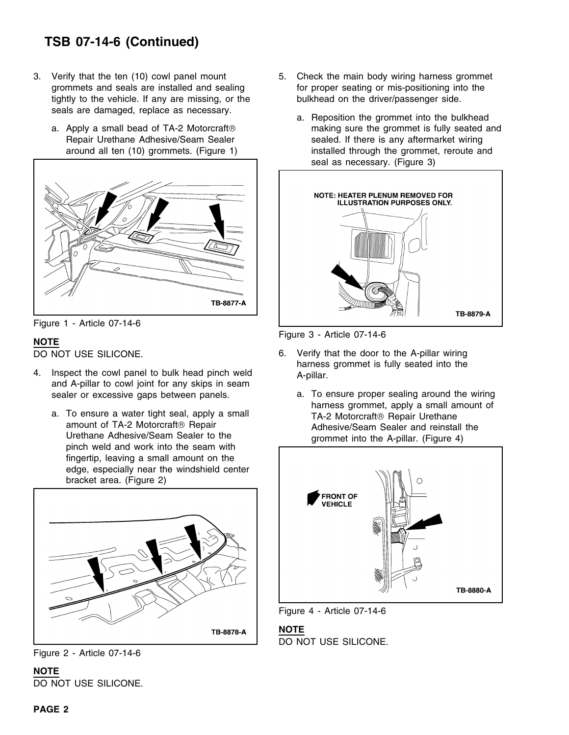# **TSB 07-14-6 (Continued)**

- 3. Verify that the ten (10) cowl panel mount 5. Check the main body wiring harness grommet tightly to the vehicle. If any are missing, or the bulkhead on the driver/passenger side. seals are damaged, replace as necessary.
	-



Figure 1 - Article 07-14-6

- harness grommet is fully seated into the 4. Inspect the cowl panel to bulk head pinch weld A-pillar. and A-pillar to cowl joint for any skips in seam sealer or excessive gaps between panels. **a.** To ensure proper sealing around the wiring
	- a. To ensure a water tight seal, apply a small TA-2 Motorcraft Repair Urethane<br>amount of TA-2 Motorcraft Repair Adhesive/Seam Sealer and reinstall the Urethane Adhesive/Seam Sealer to the grommet into the A-pillar. (Figure 4) pinch weld and work into the seam with fingertip, leaving a small amount on the edge, especially near the windshield center bracket area. (Figure 2)



Figure 2 - Article 07-14-6

**NOTE** DO NOT USE SILICONE.

- grommets and seals are installed and sealing for proper seating or mis-positioning into the
- a. Reposition the grommet into the bulkhead a. Apply a small bead of TA-2 Motorcraft $\circledast$  making sure the grommet is fully seated and Repair Urethane Adhesive/Seam Sealer Sealer sealed. If there is any aftermarket wiring around all ten (10) grommets. (Figure 1) installed through the grommet, reroute and seal as necessary. (Figure 3)



Figure 3 - Article 07-14-6 **NOTE**

- DO NOT USE SILICONE. **6.** Verify that the door to the A-pillar wiring
	- harness grommet, apply a small amount of





### **NOTE**

DO NOT USE SILICONE.